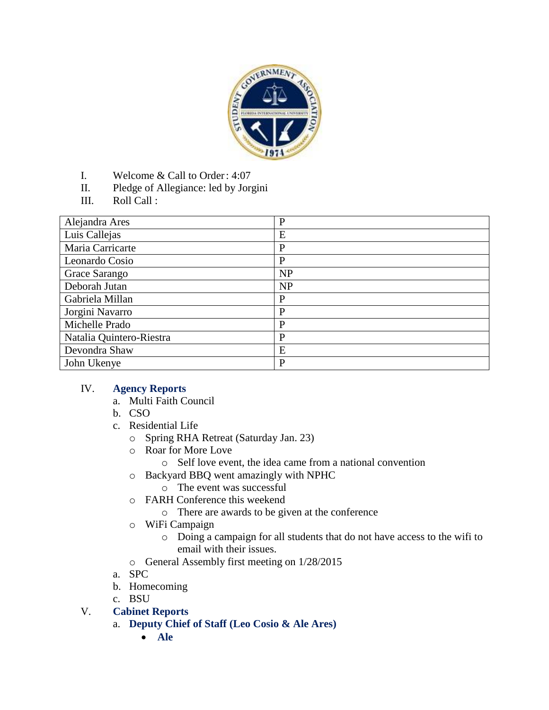

- I. Welcome & Call to Order: 4:07
- II. Pledge of Allegiance: led by Jorgini
- III. Roll Call :

| Alejandra Ares           | $\mathbf{P}$ |
|--------------------------|--------------|
| Luis Callejas            | E            |
| Maria Carricarte         | P            |
| Leonardo Cosio           | P            |
| Grace Sarango            | NP           |
| Deborah Jutan            | <b>NP</b>    |
| Gabriela Millan          | $\mathbf{P}$ |
| Jorgini Navarro          | P            |
| Michelle Prado           | P            |
| Natalia Quintero-Riestra | P            |
| Devondra Shaw            | E            |
| John Ukenye              | $\mathbf{P}$ |

#### IV. **Agency Reports**

- a. Multi Faith Council
- b. CSO
- c. Residential Life
	- o Spring RHA Retreat (Saturday Jan. 23)
	- o Roar for More Love
		- o Self love event, the idea came from a national convention
	- o Backyard BBQ went amazingly with NPHC
		- o The event was successful
	- o FARH Conference this weekend
		- o There are awards to be given at the conference
	- o WiFi Campaign
		- o Doing a campaign for all students that do not have access to the wifi to email with their issues.
	- o General Assembly first meeting on 1/28/2015
- a. SPC
- b. Homecoming
- c. BSU
- V. **Cabinet Reports**
	- a. **Deputy Chief of Staff (Leo Cosio & Ale Ares)**
		- **Ale**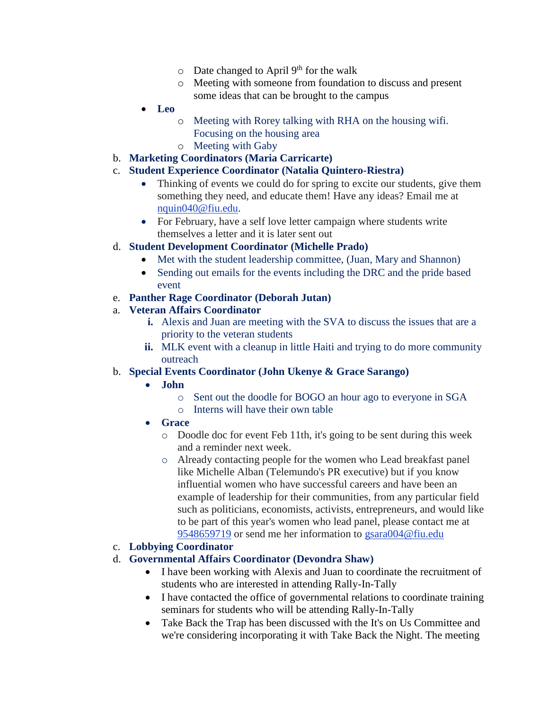- $\circ$  Date changed to April 9<sup>th</sup> for the walk
- o Meeting with someone from foundation to discuss and present some ideas that can be brought to the campus
- **Leo**
	- o Meeting with Rorey talking with RHA on the housing wifi. Focusing on the housing area
	- o Meeting with Gaby
- b. **Marketing Coordinators (Maria Carricarte)**

### c. **Student Experience Coordinator (Natalia Quintero-Riestra)**

- Thinking of events we could do for spring to excite our students, give them something they need, and educate them! Have any ideas? Email me at [nquin040@fiu.edu.](mailto:nquin040@fiu.edu)
- For February, have a self love letter campaign where students write themselves a letter and it is later sent out

#### d. **Student Development Coordinator (Michelle Prado)**

- Met with the student leadership committee, (Juan, Mary and Shannon)
- Sending out emails for the events including the DRC and the pride based event

#### e. **Panther Rage Coordinator (Deborah Jutan)**

#### a. **Veteran Affairs Coordinator**

- **i.** Alexis and Juan are meeting with the SVA to discuss the issues that are a priority to the veteran students
- **ii.** MLK event with a cleanup in little Haiti and trying to do more community outreach

#### b. **Special Events Coordinator (John Ukenye & Grace Sarango)**

- **John** 
	- o Sent out the doodle for BOGO an hour ago to everyone in SGA
	- o Interns will have their own table
- **Grace**
	- o Doodle doc for event Feb 11th, it's going to be sent during this week and a reminder next week.
	- o Already contacting people for the women who Lead breakfast panel like Michelle Alban (Telemundo's PR executive) but if you know influential women who have successful careers and have been an example of leadership for their communities, from any particular field such as politicians, economists, activists, entrepreneurs, and would like to be part of this year's women who lead panel, please contact me at [9548659719](tel:9548659719) or send me her information to [gsara004@fiu.edu](mailto:gsara004@fiu.edu)

#### c. **Lobbying Coordinator**

#### d. **Governmental Affairs Coordinator (Devondra Shaw)**

- I have been working with Alexis and Juan to coordinate the recruitment of students who are interested in attending Rally-In-Tally
- I have contacted the office of governmental relations to coordinate training seminars for students who will be attending Rally-In-Tally
- Take Back the Trap has been discussed with the It's on Us Committee and we're considering incorporating it with Take Back the Night. The meeting